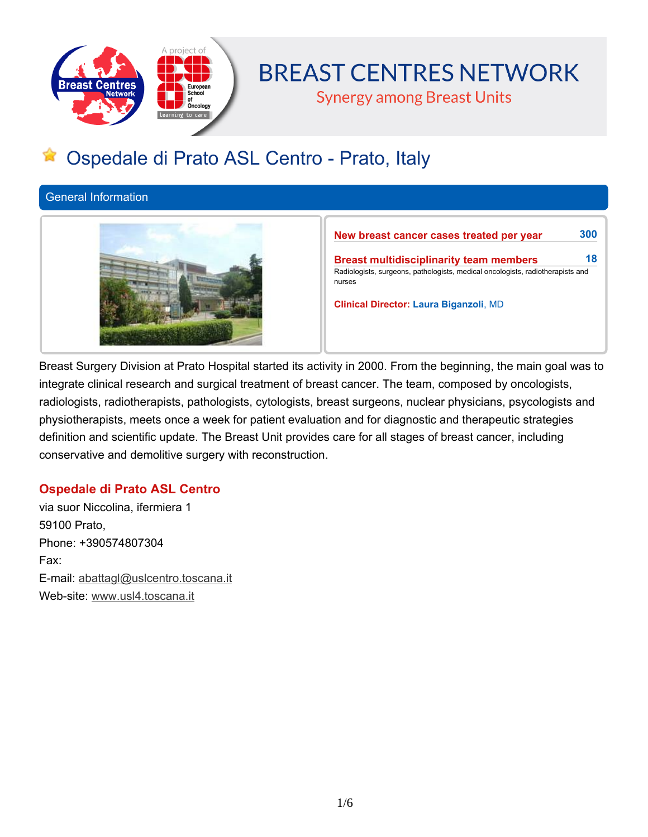

# **BREAST CENTRES NETWORK**

**Synergy among Breast Units** 

# **Ospedale di Prato ASL Centro - Prato, Italy**

**General Information**



**New breast cancer cases treated per year 300 Breast multidisciplinarity team members 18 Radiologists, surgeons, pathologists, medical oncologists, radiotherapists and nurses Clinical Director: Laura Biganzoli, MD**

Breast Surgery Division at Prato Hospital started its activity in 2000. From the beginning, the main goal was to **integrate clinical research and surgical treatment of breast cancer. The team, composed by oncologists, radiologists, radiotherapists, pathologists, cytologists, breast surgeons, nuclear physicians, psycologists and physiotherapists, meets once a week for patient evaluation and for diagnostic and therapeutic strategies definition and scientific update. The Breast Unit provides care for all stages of breast cancer, including conservative and demolitive surgery with reconstruction.**

# **Ospedale di Prato ASL Centro**

**via suor Niccolina, ifermiera 1 59100 Prato, Phone: +390574807304 Fax: E-mail: abattagl@uslcentro.toscana.it Web-site: www.usl4.toscana.it**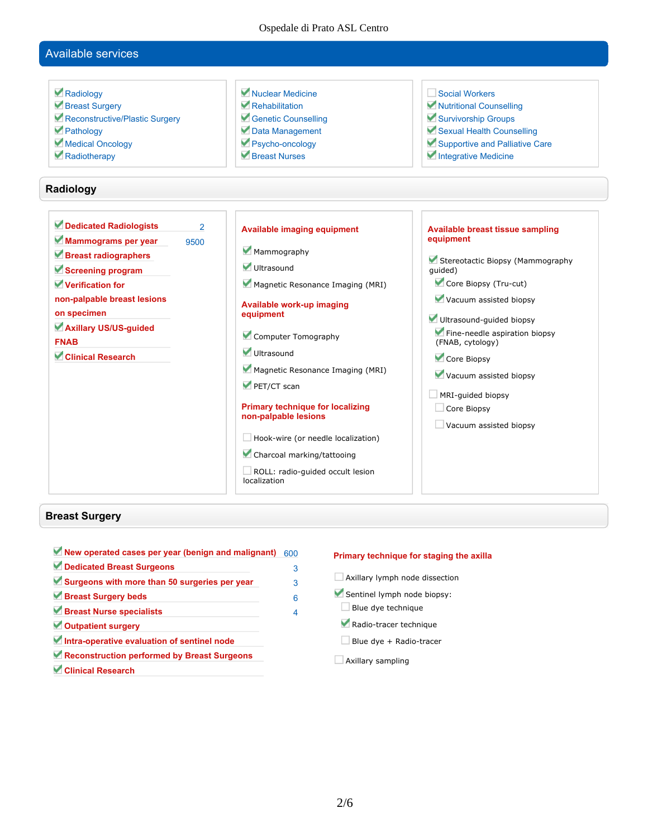Ospedale di Prato ASL Centro

# **Available services**

| Radiology<br>Breast Surgery<br>Reconstructive/Plastic Surgery<br>Pathology<br>Medical Oncology<br>Radiotherapy                                                                                                            |                        | Nuclear Medicine<br>$\blacktriangleright$ Rehabilitation<br>Genetic Counselling<br>Data Management<br>Psycho-oncology<br>Breast Nurses                                                                                                                                                                                                                                                                                                         | Social Workers<br>Mutritional Counselling<br>Survivorship Groups<br>Sexual Health Counselling<br>Supportive and Palliative Care<br>Integrative Medicine                                                                                                                                                                                 |
|---------------------------------------------------------------------------------------------------------------------------------------------------------------------------------------------------------------------------|------------------------|------------------------------------------------------------------------------------------------------------------------------------------------------------------------------------------------------------------------------------------------------------------------------------------------------------------------------------------------------------------------------------------------------------------------------------------------|-----------------------------------------------------------------------------------------------------------------------------------------------------------------------------------------------------------------------------------------------------------------------------------------------------------------------------------------|
| Radiology                                                                                                                                                                                                                 |                        |                                                                                                                                                                                                                                                                                                                                                                                                                                                |                                                                                                                                                                                                                                                                                                                                         |
| Dedicated Radiologists<br>Mammograms per year<br>Breast radiographers<br>Screening program<br>Verification for<br>non-palpable breast lesions<br>on specimen<br>Axillary US/US-guided<br><b>FNAB</b><br>Clinical Research | $\mathfrak{p}$<br>9500 | <b>Available imaging equipment</b><br>Mammography<br>Ultrasound<br>Magnetic Resonance Imaging (MRI)<br><b>Available work-up imaging</b><br>equipment<br>Computer Tomography<br>Ultrasound<br>Magnetic Resonance Imaging (MRI)<br>PET/CT scan<br><b>Primary technique for localizing</b><br>non-palpable lesions<br>$\Box$ Hook-wire (or needle localization)<br>Charcoal marking/tattooing<br>ROLL: radio-quided occult lesion<br>localization | Available breast tissue sampling<br>equipment<br>Stereotactic Biopsy (Mammography<br>quided)<br>Core Biopsy (Tru-cut)<br>Vacuum assisted biopsy<br>Ultrasound-guided biopsy<br>Fine-needle aspiration biopsy<br>(FNAB, cytology)<br>Core Biopsy<br>Vacuum assisted biopsy<br>MRI-quided biopsy<br>Core Biopsy<br>Vacuum assisted biopsy |

# **Breast Surgery**

 $\overline{\phantom{a}}$ 

| New operated cases per year (benign and malignant) | 600 |
|----------------------------------------------------|-----|
| Dedicated Breast Surgeons                          | 3   |
| Surgeons with more than 50 surgeries per year      | 3   |
| Breast Surgery beds                                | 6   |
| Breast Nurse specialists                           | 4   |
| Outpatient surgery                                 |     |
| Intra-operative evaluation of sentinel node        |     |
| Reconstruction performed by Breast Surgeons        |     |
| <b>Clinical Research</b>                           |     |

#### **Primary technique for staging the axilla**

- **Axillary lymph node dissection**
- **Sentinel lymph node biopsy:**
- **Blue dye technique**
- **Radio-tracer technique**
- **Blue dye + Radio-tracer**
- **Axillary sampling**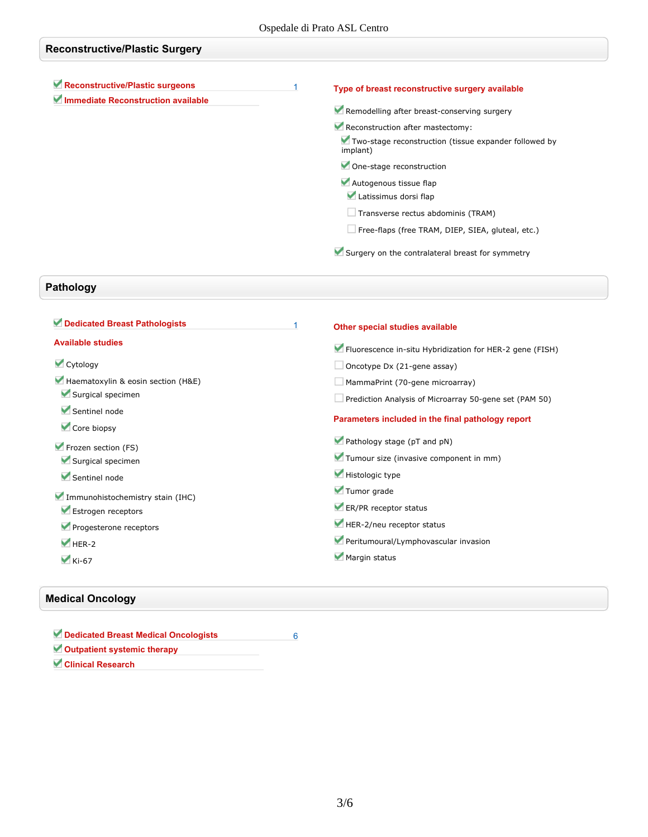| <b>Reconstructive/Plastic Surgery</b> |  |                                                                   |
|---------------------------------------|--|-------------------------------------------------------------------|
| Reconstructive/Plastic surgeons       |  | Type of breast reconstructive surgery available                   |
| Immediate Reconstruction available    |  | Remodelling after breast-conserving surgery                       |
|                                       |  | Reconstruction after mastectomy:                                  |
|                                       |  | Two-stage reconstruction (tissue expander followed by<br>implant) |
|                                       |  | One-stage reconstruction                                          |
|                                       |  | Autogenous tissue flap                                            |
|                                       |  | Latissimus dorsi flap                                             |
|                                       |  | $\Box$ Transverse rectus abdominis (TRAM)                         |
|                                       |  | $\Box$ Free-flaps (free TRAM, DIEP, SIEA, gluteal, etc.)          |
|                                       |  | Surgery on the contralateral breast for symmetry                  |

# **Pathology**

| Dedicated Breast Pathologists      | Other special studies available                          |
|------------------------------------|----------------------------------------------------------|
| <b>Available studies</b>           | Fluorescence in-situ Hybridization for HER-2 gene (FISH) |
| Cytology                           | $\Box$ Oncotype Dx (21-gene assay)                       |
| Haematoxylin & eosin section (H&E) | MammaPrint (70-gene microarray)                          |
| Surgical specimen                  | Prediction Analysis of Microarray 50-gene set (PAM 50)   |
| Sentinel node<br>Core biopsy       | Parameters included in the final pathology report        |
| Frozen section (FS)                | Pathology stage (pT and pN)                              |
| Surgical specimen                  | Tumour size (invasive component in mm)                   |
| Sentinel node                      | Histologic type                                          |
| Immunohistochemistry stain (IHC)   | Tumor grade                                              |
| Estrogen receptors                 | ER/PR receptor status                                    |
| Progesterone receptors             | HER-2/neu receptor status                                |
| $HER-2$                            | Peritumoural/Lymphovascular invasion                     |
| $\blacktriangleright$ Ki-67        | Margin status                                            |
|                                    |                                                          |

# **Medical Oncology**

| Dedicated Breast Medical Oncologists |  |
|--------------------------------------|--|
| Outpatient systemic therapy          |  |
| <b>Clinical Research</b>             |  |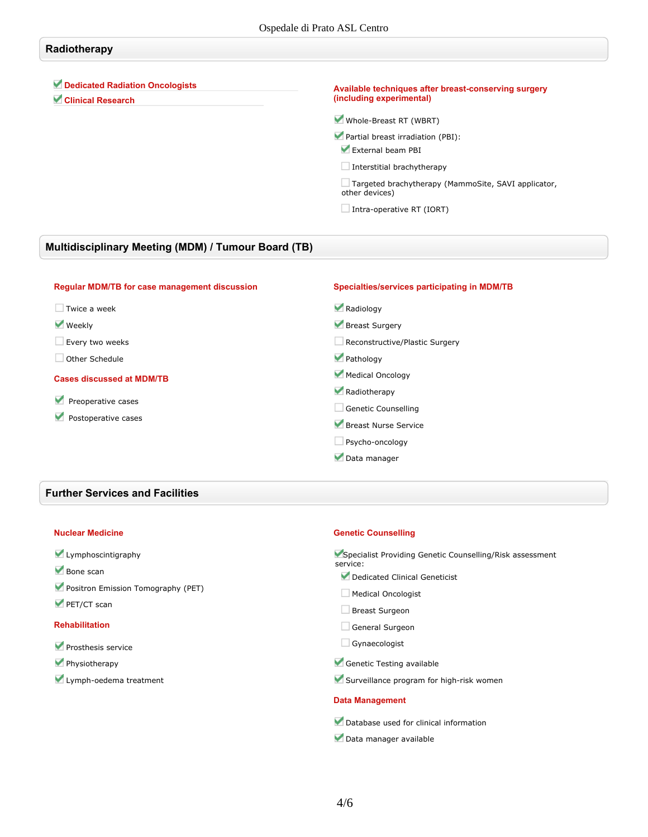# **Radiotherapy**

#### **Dedicated Radiation Oncologists**

**Clinical Research**

#### **Available techniques after breast-conserving surgery (including experimental)**

**Whole-Breast RT (WBRT)**

- **Partial breast irradiation (PBI): External beam PBI**
	-
- **Interstitial brachytherapy**

**Targeted brachytherapy (MammoSite, SAVI applicator, other devices)**

**Intra-operative RT (IORT)**

## **Multidisciplinary Meeting (MDM) / Tumour Board (TB)**

| Specialties/services participating in MDM/TB |
|----------------------------------------------|
| Radiology                                    |
| Breast Surgery                               |
| Reconstructive/Plastic Surgery               |
| Pathology                                    |
| Medical Oncology                             |
| Radiotherapy                                 |
| Genetic Counselling                          |
| Breast Nurse Service                         |
| $\Box$ Psycho-oncology                       |
| Data manager                                 |
|                                              |

#### **Further Services and Facilities**

#### **Nuclear Medicine**

#### **Lymphoscintigraphy**

- **Bone scan**
- **Positron Emission Tomography (PET)**
- **PET/CT scan**

#### **Rehabilitation**

- **Prosthesis service**
- **Physiotherapy**
- **Lymph-oedema treatment**

#### **Genetic Counselling**

| Specialist Providing Genetic Counselling/Risk assessment<br>service: |
|----------------------------------------------------------------------|
| Dedicated Clinical Geneticist                                        |
| <b>Medical Oncologist</b>                                            |
| <b>Breast Surgeon</b>                                                |
| General Surgeon                                                      |
| Gynaecologist                                                        |
| Genetic Testing available                                            |
| Surveillance program for high-risk women                             |
| <b>Data Management</b>                                               |
| $-1$                                                                 |

- **Database used for clinical information**
- **Data manager available**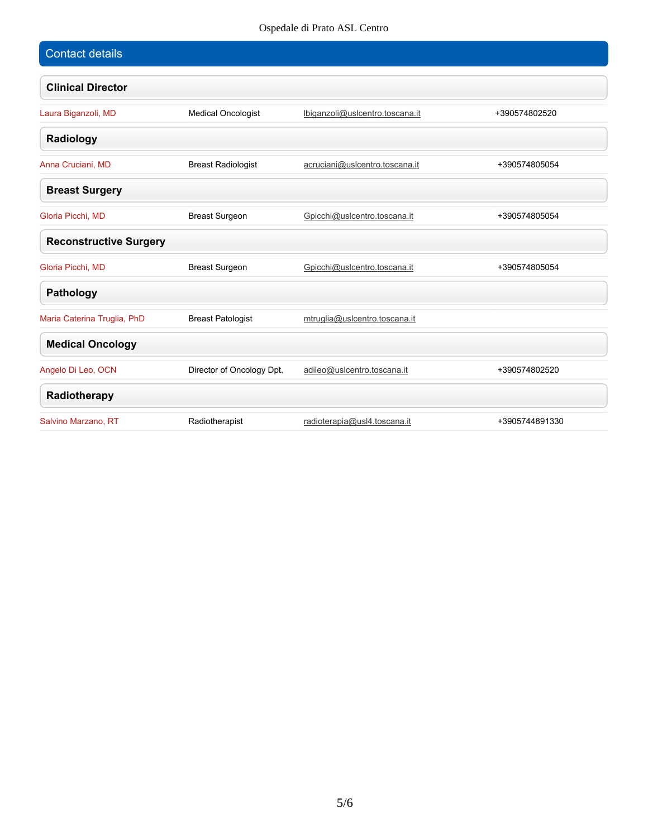# Ospedale di Prato ASL Centro

| <b>Contact details</b>        |                           |                                 |                |
|-------------------------------|---------------------------|---------------------------------|----------------|
| <b>Clinical Director</b>      |                           |                                 |                |
| Laura Biganzoli, MD           | <b>Medical Oncologist</b> | lbiganzoli@uslcentro.toscana.it | +390574802520  |
| Radiology                     |                           |                                 |                |
| Anna Cruciani, MD             | <b>Breast Radiologist</b> | acruciani@uslcentro.toscana.it  | +390574805054  |
| <b>Breast Surgery</b>         |                           |                                 |                |
| Gloria Picchi, MD             | <b>Breast Surgeon</b>     | Gpicchi@uslcentro.toscana.it    | +390574805054  |
| <b>Reconstructive Surgery</b> |                           |                                 |                |
| Gloria Picchi, MD             | <b>Breast Surgeon</b>     | Gpicchi@uslcentro.toscana.it    | +390574805054  |
| <b>Pathology</b>              |                           |                                 |                |
| Maria Caterina Truglia, PhD   | <b>Breast Patologist</b>  | mtruglia@uslcentro.toscana.it   |                |
| <b>Medical Oncology</b>       |                           |                                 |                |
| Angelo Di Leo, OCN            | Director of Oncology Dpt. | adileo@uslcentro.toscana.it     | +390574802520  |
| Radiotherapy                  |                           |                                 |                |
| Salvino Marzano, RT           | Radiotherapist            | radioterapia@usl4.toscana.it    | +3905744891330 |